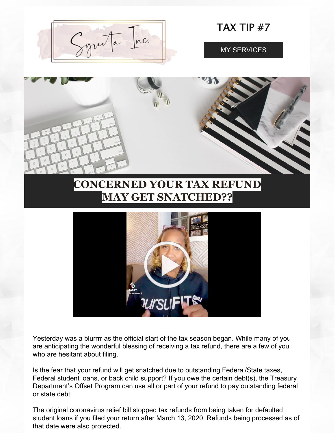

Yesterday was a blurrrr as the official start of the tax season began. While many of you are anticipating the wonderful blessing of receiving a tax refund, there are a few of you who are hesitant about filing.

Is the fear that your refund will get snatched due to outstanding Federal/State taxes, Federal student loans, or back child support? If you owe the certain debt(s), the Treasury Department's Offset Program can use all or part of your refund to pay outstanding federal or state debt.

The original coronavirus relief bill stopped tax refunds from being taken for defaulted student loans if you filed your return after March 13, 2020. Refunds being processed as of that date were also protected.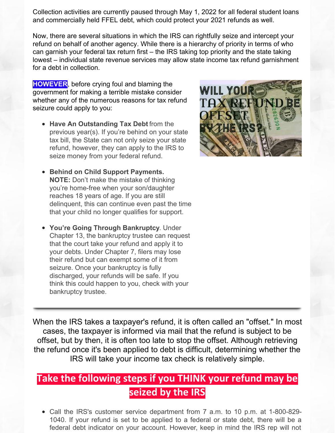Collection activities are currently paused through May 1, 2022 for all federal student loans and commercially held FFEL debt, which could protect your 2021 refunds as well.

Now, there are several situations in which the IRS can rightfully seize and intercept your refund on behalf of another agency. While there is a hierarchy of priority in terms of who can garnish your federal tax return first – the IRS taking top priority and the state taking lowest – individual state revenue services may allow state income tax refund garnishment for a debt in collection.

**HOWEVER**, before crying foul and blaming the government for making a terrible mistake consider whether any of the numerous reasons for tax refund seizure could apply to you:

- **Have An Outstanding Tax Debt** from the previous year(s). If you're behind on your state tax bill, the State can not only seize your state refund, however, they can apply to the IRS to seize money from your federal refund.
- **Behind on Child Support Payments. NOTE:** Don't make the mistake of thinking you're home-free when your son/daughter reaches 18 years of age. If you are still delinquent, this can continue even past the time that your child no longer qualifies for support.
- **You're Going Through Bankruptcy**. Under Chapter 13, the bankruptcy trustee can request that the court take your refund and apply it to your debts. Under Chapter 7, filers may lose their refund but can exempt some of it from seizure. Once your bankruptcy is fully discharged, your refunds will be safe. If you think this could happen to you, check with your bankruptcy trustee.



When the IRS takes a taxpayer's refund, it is often called an "offset." In most cases, the taxpayer is informed via mail that the refund is subject to be offset, but by then, it is often too late to stop the offset. Although retrieving the refund once it's been applied to debt is difficult, determining whether the IRS will take your income tax check is relatively simple.

### **Take the following steps if you THINK your refund may be seized by the IRS**

Call the IRS's customer service department from 7 a.m. to 10 p.m. at 1-800-829- 1040. If your refund is set to be applied to a federal or state debt, there will be a federal debt indicator on your account. However, keep in mind the IRS rep will not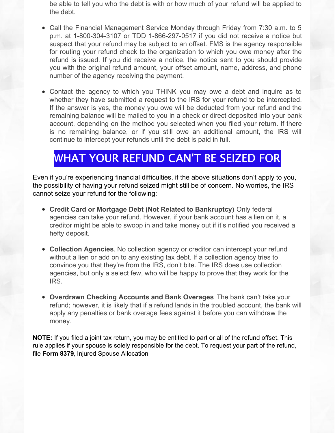be able to tell you who the debt is with or how much of your refund will be applied to the debt.

- Call the Financial Management Service Monday through Friday from 7:30 a.m. to 5 p.m. at 1-800-304-3107 or TDD 1-866-297-0517 if you did not receive a notice but suspect that your refund may be subject to an offset. FMS is the agency responsible for routing your refund check to the organization to which you owe money after the refund is issued. If you did receive a notice, the notice sent to you should provide you with the original refund amount, your offset amount, name, address, and phone number of the agency receiving the payment.
- Contact the agency to which you THINK you may owe a debt and inquire as to whether they have submitted a request to the IRS for your refund to be intercepted. If the answer is yes, the money you owe will be deducted from your refund and the remaining balance will be mailed to you in a check or direct deposited into your bank account, depending on the method you selected when you filed your return. If there is no remaining balance, or if you still owe an additional amount, the IRS will continue to intercept your refunds until the debt is paid in full.

## WHAT YOUR REFUND CAN'T BE SEIZED FOR

Even if you're experiencing financial difficulties, if the above situations don't apply to you, the possibility of having your refund seized might still be of concern. No worries, the IRS cannot seize your refund for the following:

- **Credit Card or Mortgage Debt (Not Related to Bankruptcy)**. Only federal agencies can take your refund. However, if your bank account has a lien on it, a creditor might be able to swoop in and take money out if it's notified you received a hefty deposit.
- **Collection Agencies**. No collection agency or creditor can intercept your refund without a lien or add on to any existing tax debt. If a collection agency tries to convince you that they're from the IRS, don't bite. The IRS does use collection agencies, but only a select few, who will be happy to prove that they work for the IRS.
- **Overdrawn Checking Accounts and Bank Overages**. The bank can't take your refund; however, it is likely that if a refund lands in the troubled account, the bank will apply any penalties or bank overage fees against it before you can withdraw the money.

**NOTE:** If you filed a joint tax return, you may be entitled to part or all of the refund offset. This rule applies if your spouse is solely responsible for the debt. To request your part of the refund, file **[Form](http://links.govdelivery.com/track?type=click&enid=ZWFzPTEmbWFpbGluZ2lkPTIwMTQwNDIxLjMxNDg0MjQxJm1lc3NhZ2VpZD1NREItUFJELUJVTC0yMDE0MDQyMS4zMTQ4NDI0MSZkYXRhYmFzZWlkPTEwMDEmc2VyaWFsPTE2ODE2NDIyJmVtYWlsaWQ9c3lyZWV0YUBzeXJlZXRhLmJpeiZ1c2VyaWQ9c3lyZWV0YUBzeXJlZXRhLmJpeiZmbD0mZXh0cmE9TXVsdGl2YXJpYXRlSWQ9JiYm&&&130&&&http://www.irs.gov/uac/Form-8379,--Injured-Spouse-Allocation) 8379**, Injured Spouse Allocation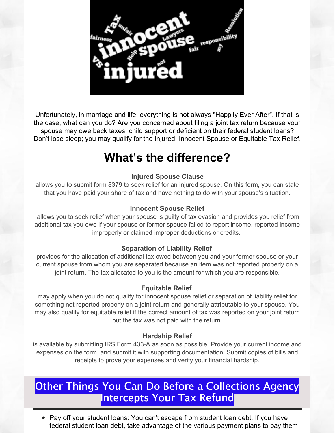

Unfortunately, in marriage and life, everything is not always "Happily Ever After". If that is the case, what can you do? Are you concerned about filing a joint tax return because your spouse may owe back taxes, child support or deficient on their federal student loans? Don't lose sleep; you may qualify for the Injured, Innocent Spouse or Equitable Tax Relief.

# **What's the difference?**

#### **Injured Spouse Clause**

allows you to submit form 8379 to seek relief for an injured spouse. On this form, you can state that you have paid your share of tax and have nothing to do with your spouse's situation.

#### **Innocent Spouse Relief**

allows you to seek relief when your spouse is guilty of tax evasion and provides you relief from additional tax you owe if your spouse or former spouse failed to report income, reported income improperly or claimed improper deductions or credits.

#### **Separation of Liability Relief**

provides for the allocation of additional tax owed between you and your former spouse or your current spouse from whom you are separated because an item was not reported properly on a joint return. The tax allocated to you is the amount for which you are responsible.

#### **Equitable Relief**

may apply when you do not qualify for innocent spouse relief or separation of liability relief for something not reported properly on a joint return and generally attributable to your spouse. You may also qualify for equitable relief if the correct amount of tax was reported on your joint return but the tax was not paid with the return.

#### **Hardship Relief**

is available by submitting IRS Form 433-A as soon as possible. Provide your current income and expenses on the form, and submit it with supporting documentation. Submit copies of bills and receipts to prove your expenses and verify your financial hardship.

### Other Things You Can Do Before a Collections Agency Intercepts Your Tax Refund

• Pay off your student loans: You can't escape from student loan debt. If you have federal student loan debt, take advantage of the various payment plans to pay them